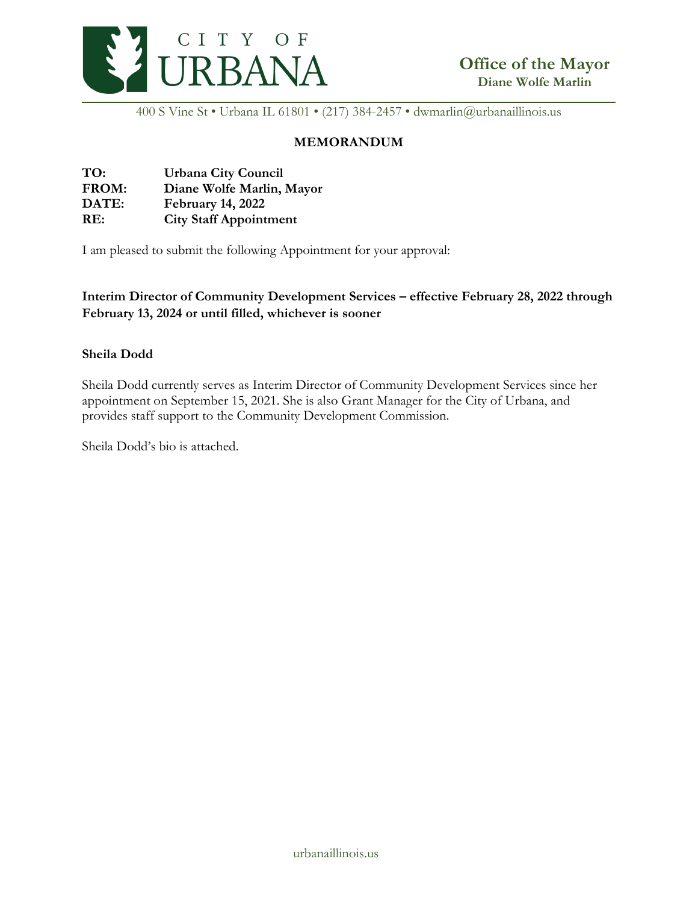

400 S Vine St • Urbana IL 61801 • (217) 384-2457 • dwmarlin@urbanaillinois.us

## **MEMORANDUM**

| TO:   | <b>Urbana City Council</b>    |
|-------|-------------------------------|
| FROM: | Diane Wolfe Marlin, Mayor     |
| DATE: | <b>February 14, 2022</b>      |
| RE:   | <b>City Staff Appointment</b> |

I am pleased to submit the following Appointment for your approval:

**Interim Director of Community Development Services – effective February 28, 2022 through February 13, 2024 or until filled, whichever is sooner**

## **Sheila Dodd**

Sheila Dodd currently serves as Interim Director of Community Development Services since her appointment on September 15, 2021. She is also Grant Manager for the City of Urbana, and provides staff support to the Community Development Commission.

Sheila Dodd's bio is attached.